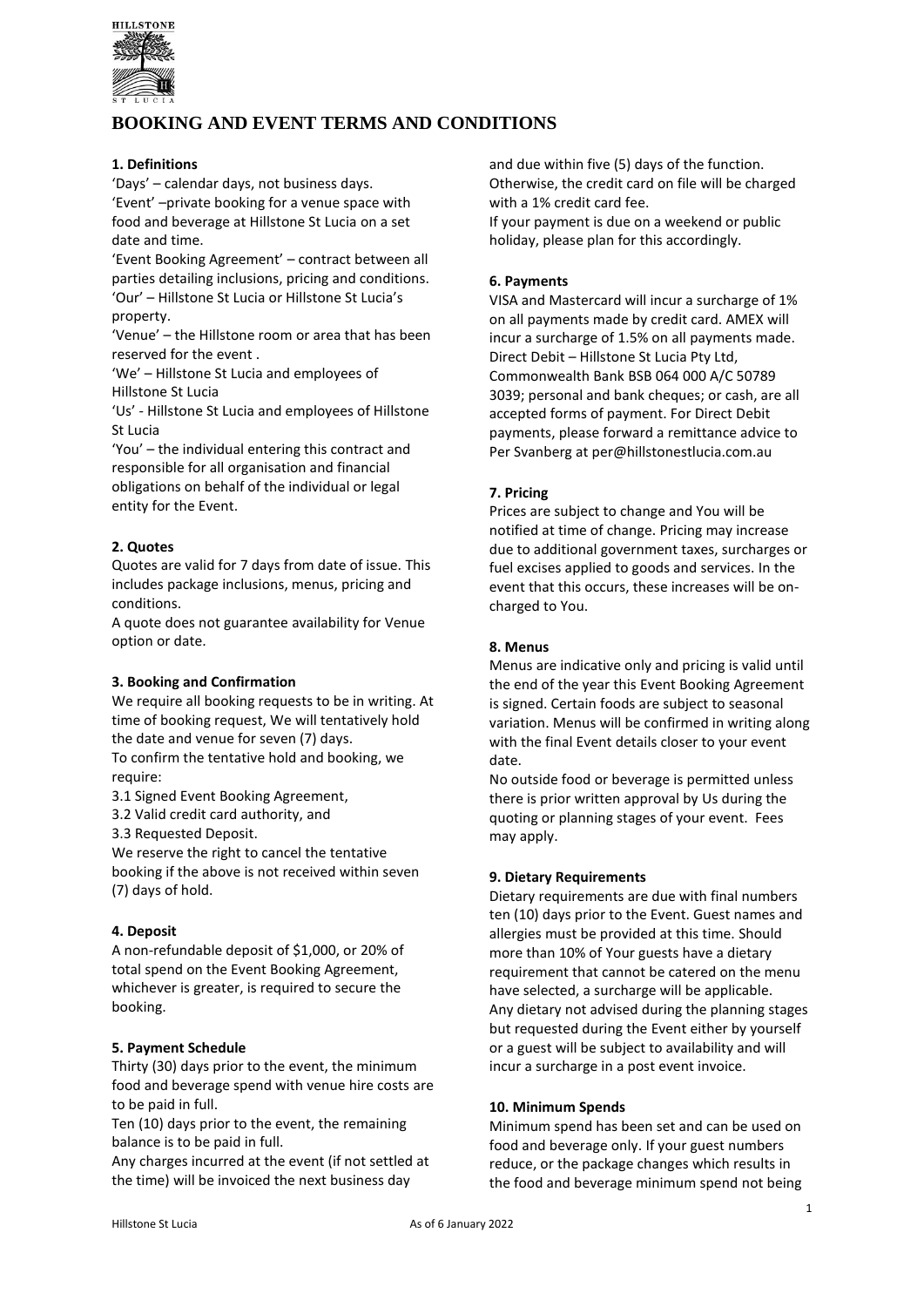

# **BOOKING AND EVENT TERMS AND CONDITIONS**

### **1. Definitions**

'Days' – calendar days, not business days. 'Event' –private booking for a venue space with food and beverage at Hillstone St Lucia on a set date and time.

'Event Booking Agreement' – contract between all parties detailing inclusions, pricing and conditions. 'Our' – Hillstone St Lucia or Hillstone St Lucia's property.

'Venue' – the Hillstone room or area that has been reserved for the event

'We' – Hillstone St Lucia and employees of Hillstone St Lucia

'Us' - Hillstone St Lucia and employees of Hillstone St Lucia

'You' – the individual entering this contract and responsible for all organisation and financial obligations on behalf of the individual or legal entity for the Event.

# **2. Quotes**

Quotes are valid for 7 days from date of issue. This includes package inclusions, menus, pricing and conditions.

A quote does not guarantee availability for Venue option or date.

### **3. Booking and Confirmation**

We require all booking requests to be in writing. At time of booking request, We will tentatively hold the date and venue for seven (7) days.

To confirm the tentative hold and booking, we require:

3.1 Signed Event Booking Agreement,

3.2 Valid credit card authority, and

3.3 Requested Deposit.

We reserve the right to cancel the tentative booking if the above is not received within seven (7) days of hold.

### **4. Deposit**

A non-refundable deposit of \$1,000, or 20% of total spend on the Event Booking Agreement, whichever is greater, is required to secure the booking.

### **5. Payment Schedule**

Thirty (30) days prior to the event, the minimum food and beverage spend with venue hire costs are to be paid in full.

Ten (10) days prior to the event, the remaining balance is to be paid in full.

Any charges incurred at the event (if not settled at the time) will be invoiced the next business day

and due within five (5) days of the function. Otherwise, the credit card on file will be charged with a 1% credit card fee.

If your payment is due on a weekend or public holiday, please plan for this accordingly.

# **6. Payments**

VISA and Mastercard will incur a surcharge of 1% on all payments made by credit card. AMEX will incur a surcharge of 1.5% on all payments made. Direct Debit – Hillstone St Lucia Pty Ltd, Commonwealth Bank BSB 064 000 A/C 50789 3039; personal and bank cheques; or cash, are all accepted forms of payment. For Direct Debit payments, please forward a remittance advice to Per Svanberg at per@hillstonestlucia.com.au

# **7. Pricing**

Prices are subject to change and You will be notified at time of change. Pricing may increase due to additional government taxes, surcharges or fuel excises applied to goods and services. In the event that this occurs, these increases will be oncharged to You.

### **8. Menus**

Menus are indicative only and pricing is valid until the end of the year this Event Booking Agreement is signed. Certain foods are subject to seasonal variation. Menus will be confirmed in writing along with the final Event details closer to your event date.

No outside food or beverage is permitted unless there is prior written approval by Us during the quoting or planning stages of your event. Fees may apply.

### **9. Dietary Requirements**

Dietary requirements are due with final numbers ten (10) days prior to the Event. Guest names and allergies must be provided at this time. Should more than 10% of Your guests have a dietary requirement that cannot be catered on the menu have selected, a surcharge will be applicable. Any dietary not advised during the planning stages but requested during the Event either by yourself or a guest will be subject to availability and will incur a surcharge in a post event invoice.

### **10. Minimum Spends**

Minimum spend has been set and can be used on food and beverage only. If your guest numbers reduce, or the package changes which results in the food and beverage minimum spend not being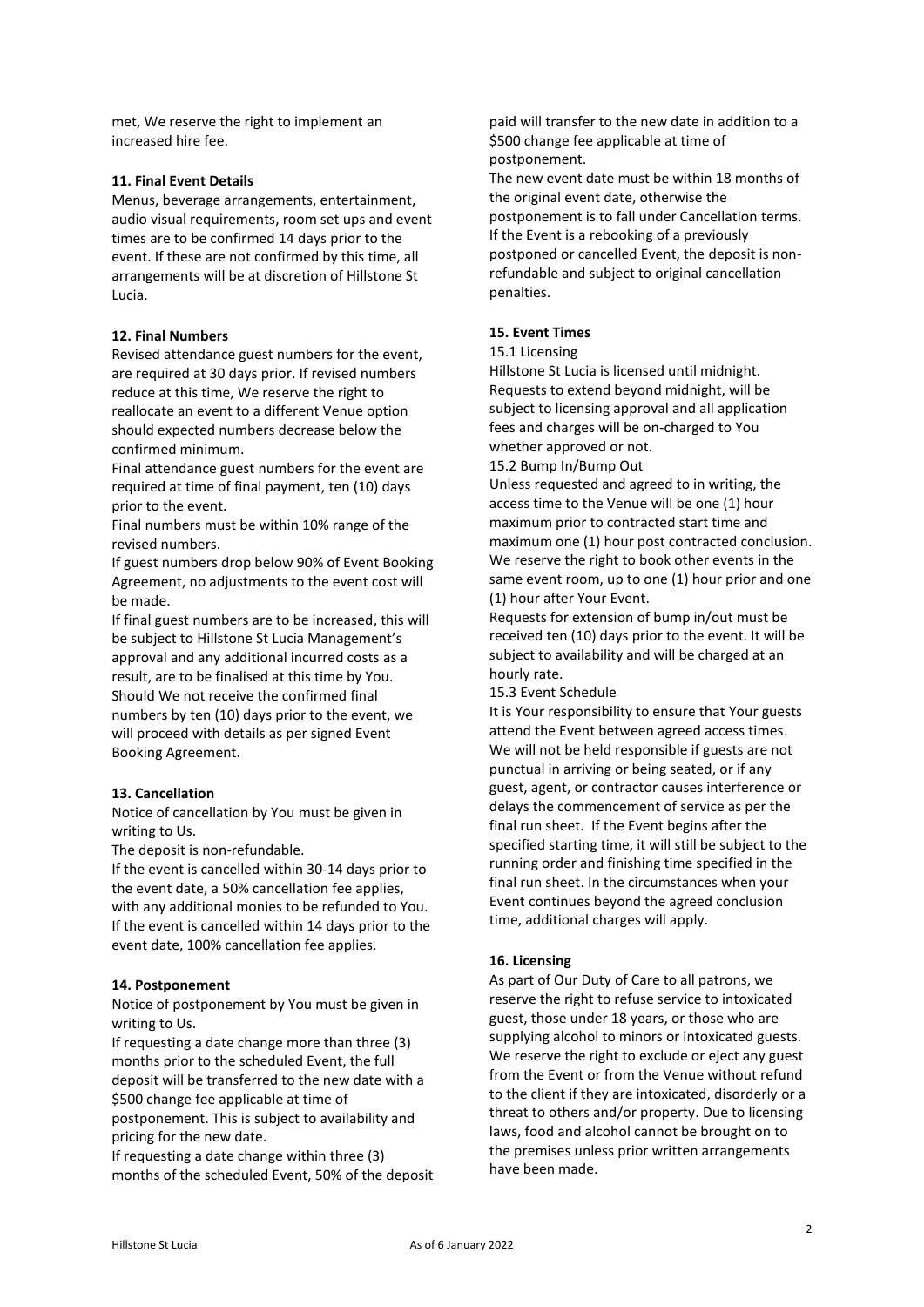met, We reserve the right to implement an increased hire fee.

### **11. Final Event Details**

Menus, beverage arrangements, entertainment, audio visual requirements, room set ups and event times are to be confirmed 14 days prior to the event. If these are not confirmed by this time, all arrangements will be at discretion of Hillstone St Lucia.

### **12. Final Numbers**

Revised attendance guest numbers for the event, are required at 30 days prior. If revised numbers reduce at this time, We reserve the right to reallocate an event to a different Venue option should expected numbers decrease below the confirmed minimum.

Final attendance guest numbers for the event are required at time of final payment, ten (10) days prior to the event.

Final numbers must be within 10% range of the revised numbers.

If guest numbers drop below 90% of Event Booking Agreement, no adjustments to the event cost will be made.

If final guest numbers are to be increased, this will be subject to Hillstone St Lucia Management's approval and any additional incurred costs as a result, are to be finalised at this time by You. Should We not receive the confirmed final numbers by ten (10) days prior to the event, we will proceed with details as per signed Event Booking Agreement.

#### **13. Cancellation**

Notice of cancellation by You must be given in writing to Us.

The deposit is non-refundable.

If the event is cancelled within 30-14 days prior to the event date, a 50% cancellation fee applies, with any additional monies to be refunded to You. If the event is cancelled within 14 days prior to the event date, 100% cancellation fee applies.

#### **14. Postponement**

Notice of postponement by You must be given in writing to Us.

If requesting a date change more than three (3) months prior to the scheduled Event, the full deposit will be transferred to the new date with a \$500 change fee applicable at time of postponement. This is subject to availability and

pricing for the new date.

If requesting a date change within three (3) months of the scheduled Event, 50% of the deposit paid will transfer to the new date in addition to a \$500 change fee applicable at time of postponement.

The new event date must be within 18 months of the original event date, otherwise the postponement is to fall under Cancellation terms. If the Event is a rebooking of a previously postponed or cancelled Event, the deposit is nonrefundable and subject to original cancellation penalties.

#### **15. Event Times**

#### 15.1 Licensing

Hillstone St Lucia is licensed until midnight. Requests to extend beyond midnight, will be subject to licensing approval and all application fees and charges will be on-charged to You whether approved or not.

15.2 Bump In/Bump Out

Unless requested and agreed to in writing, the access time to the Venue will be one (1) hour maximum prior to contracted start time and maximum one (1) hour post contracted conclusion. We reserve the right to book other events in the same event room, up to one (1) hour prior and one (1) hour after Your Event.

Requests for extension of bump in/out must be received ten (10) days prior to the event. It will be subject to availability and will be charged at an hourly rate.

15.3 Event Schedule

It is Your responsibility to ensure that Your guests attend the Event between agreed access times. We will not be held responsible if guests are not punctual in arriving or being seated, or if any guest, agent, or contractor causes interference or delays the commencement of service as per the final run sheet. If the Event begins after the specified starting time, it will still be subject to the running order and finishing time specified in the final run sheet. In the circumstances when your Event continues beyond the agreed conclusion time, additional charges will apply.

### **16. Licensing**

As part of Our Duty of Care to all patrons, we reserve the right to refuse service to intoxicated guest, those under 18 years, or those who are supplying alcohol to minors or intoxicated guests. We reserve the right to exclude or eject any guest from the Event or from the Venue without refund to the client if they are intoxicated, disorderly or a threat to others and/or property. Due to licensing laws, food and alcohol cannot be brought on to the premises unless prior written arrangements have been made.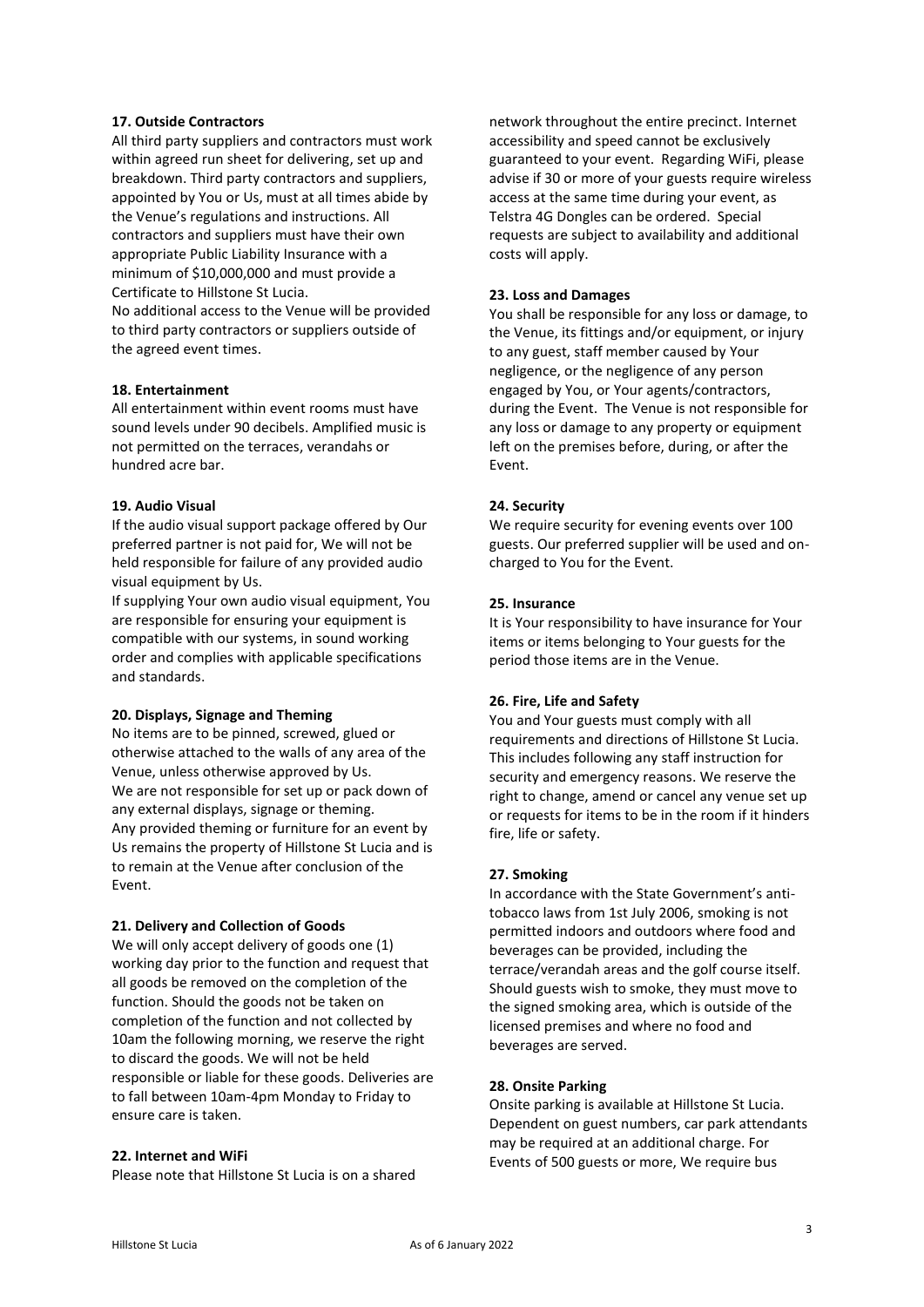### **17. Outside Contractors**

All third party suppliers and contractors must work within agreed run sheet for delivering, set up and breakdown. Third party contractors and suppliers, appointed by You or Us, must at all times abide by the Venue's regulations and instructions. All contractors and suppliers must have their own appropriate Public Liability Insurance with a minimum of \$10,000,000 and must provide a Certificate to Hillstone St Lucia.

No additional access to the Venue will be provided to third party contractors or suppliers outside of the agreed event times.

### **18. Entertainment**

All entertainment within event rooms must have sound levels under 90 decibels. Amplified music is not permitted on the terraces, verandahs or hundred acre bar.

### **19. Audio Visual**

If the audio visual support package offered by Our preferred partner is not paid for, We will not be held responsible for failure of any provided audio visual equipment by Us.

If supplying Your own audio visual equipment, You are responsible for ensuring your equipment is compatible with our systems, in sound working order and complies with applicable specifications and standards.

#### **20. Displays, Signage and Theming**

No items are to be pinned, screwed, glued or otherwise attached to the walls of any area of the Venue, unless otherwise approved by Us. We are not responsible for set up or pack down of any external displays, signage or theming. Any provided theming or furniture for an event by Us remains the property of Hillstone St Lucia and is to remain at the Venue after conclusion of the Event.

### **21. Delivery and Collection of Goods**

We will only accept delivery of goods one (1) working day prior to the function and request that all goods be removed on the completion of the function. Should the goods not be taken on completion of the function and not collected by 10am the following morning, we reserve the right to discard the goods. We will not be held responsible or liable for these goods. Deliveries are to fall between 10am-4pm Monday to Friday to ensure care is taken.

#### **22. Internet and WiFi**

Please note that Hillstone St Lucia is on a shared

network throughout the entire precinct. Internet accessibility and speed cannot be exclusively guaranteed to your event. Regarding WiFi, please advise if 30 or more of your guests require wireless access at the same time during your event, as Telstra 4G Dongles can be ordered. Special requests are subject to availability and additional costs will apply.

### **23. Loss and Damages**

You shall be responsible for any loss or damage, to the Venue, its fittings and/or equipment, or injury to any guest, staff member caused by Your negligence, or the negligence of any person engaged by You, or Your agents/contractors, during the Event. The Venue is not responsible for any loss or damage to any property or equipment left on the premises before, during, or after the Event.

### **24. Security**

We require security for evening events over 100 guests. Our preferred supplier will be used and oncharged to You for the Event.

### **25. Insurance**

It is Your responsibility to have insurance for Your items or items belonging to Your guests for the period those items are in the Venue.

#### **26. Fire, Life and Safety**

You and Your guests must comply with all requirements and directions of Hillstone St Lucia. This includes following any staff instruction for security and emergency reasons. We reserve the right to change, amend or cancel any venue set up or requests for items to be in the room if it hinders fire, life or safety.

#### **27. Smoking**

In accordance with the State Government's antitobacco laws from 1st July 2006, smoking is not permitted indoors and outdoors where food and beverages can be provided, including the terrace/verandah areas and the golf course itself. Should guests wish to smoke, they must move to the signed smoking area, which is outside of the licensed premises and where no food and beverages are served.

#### **28. Onsite Parking**

Onsite parking is available at Hillstone St Lucia. Dependent on guest numbers, car park attendants may be required at an additional charge. For Events of 500 guests or more, We require bus